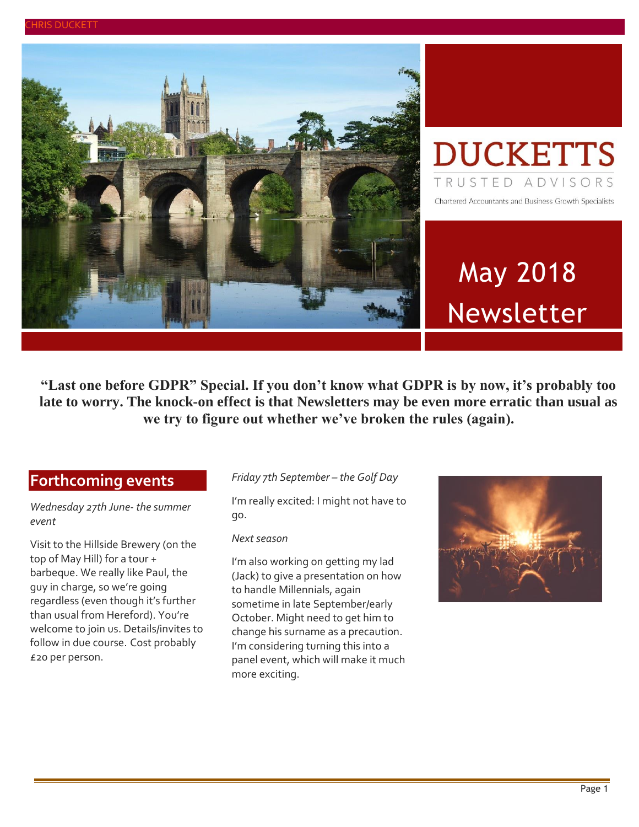



# May 2018 Newsletter

**"Last one before GDPR" Special. If you don't know what GDPR is by now, it's probably too late to worry. The knock-on effect is that Newsletters may be even more erratic than usual as we try to figure out whether we've broken the rules (again).**

#### **Forthcoming events**

*Wednesday 27th June- the summer event*

Visit to the Hillside Brewery (on the top of May Hill) for a tour + barbeque. We really like Paul, the guy in charge, so we're going regardless (even though it's further than usual from Hereford). You're welcome to join us. Details/invites to follow in due course. Cost probably £20 per person.

#### *Friday 7th September – the Golf Day*

I'm really excited: I might not have to go.

#### *Nextseason*

I'm also working on getting my lad (Jack) to give a presentation on how to handle Millennials, again sometime in late September/early October. Might need to get him to change his surname as a precaution. I'm considering turning this into a panel event, which will make it much more exciting.

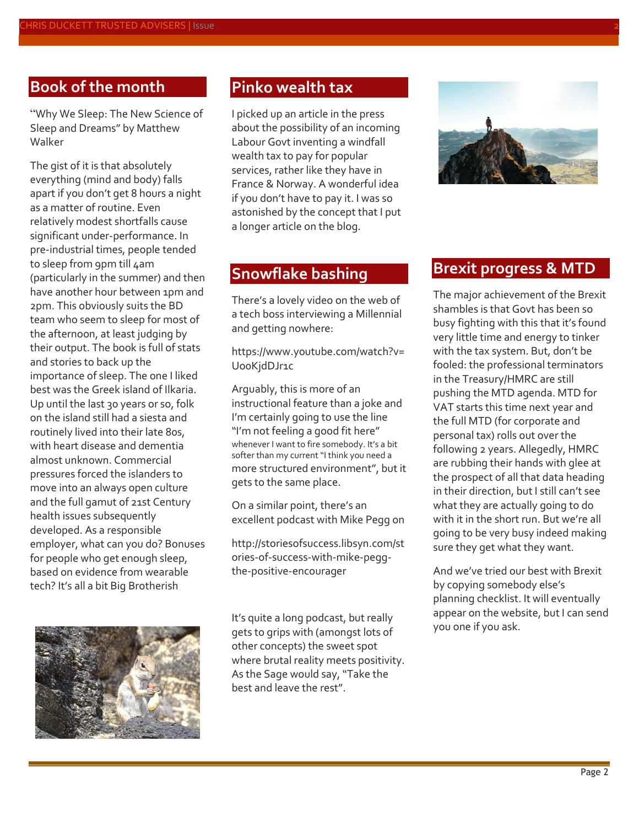## **Book of the month**

"Why We Sleep: The New Science of Sleep and Dreams" by Matthew Walker

The gist of it is that absolutely everything (mind and body) falls apart if you don't get 8 hours a night as a matter of routine. Even relatively modest shortfalls cause significant under-performance. In pre-industrial times, people tended to sleep from 9pm till 4am (particularly in the summer) and then have another hour between 1pm and 2pm. This obviously suits the BD team who seem to sleep for most of the afternoon, at least judging by their output. The book is full of stats and stories to back up the importance of sleep. The one I liked best was the Greek island of Ilkaria. Up until the last 30 years or so, folk on the island still had a siesta and routinely lived into their late 80s, with heart disease and dementia almost unknown. Commercial pressures forced the islanders to move into an always open culture and the full gamut of 21st Century health issues subsequently developed. As a responsible employer, what can you do? Bonuses for people who get enough sleep, based on evidence from wearable tech? It's all a bit Big Brotherish



#### **Pinko wealth tax**

I picked up an article in the press about the possibility of an incoming Labour Govt inventing a windfall wealth tax to pay for popular services, rather like they have in France & Norway. A wonderful idea if you don't have to pay it. I was so astonished by the concept that I put a longer article on the blog.

#### **Snowflake bashing**

There's a lovely video on the web of a tech boss interviewing a Millennial and getting nowhere:

[https://www.youtube.com/watch?v=](https://www.youtube.com/watch?v=Uo0KjdDJr1c) [Uo0KjdDJr1c](https://www.youtube.com/watch?v=Uo0KjdDJr1c)

Arguably, this is more of an instructional feature than a joke and I'm certainly going to use the line "I'm not feeling a good fit here" whenever I want to fire somebody. It's a bit softer than my current "I think you need a more structured environment", but it gets to the same place.

On a similar point, there's an excellent podcast with Mike Pegg on

[http://storiesofsuccess.libsyn.com/st](http://storiesofsuccess.libsyn.com/stories-of-success-with-mike-pegg-the-positive-encourager) [ories-of-success-with-mike-pegg](http://storiesofsuccess.libsyn.com/stories-of-success-with-mike-pegg-the-positive-encourager)[the-positive-encourager](http://storiesofsuccess.libsyn.com/stories-of-success-with-mike-pegg-the-positive-encourager)

It's quite a long podcast, but really gets to grips with (amongst lots of other concepts) the sweet spot where brutal reality meets positivity. As the Sage would say, "Take the best and leave the rest".



#### **Brexit progress & MTD**

The major achievement of the Brexit shambles is that Govt has been so busy fighting with this that it's found very little time and energy to tinker with the tax system. But, don't be fooled: the professional terminators in the Treasury/HMRC are still pushing the MTD agenda. MTD for VAT starts this time next year and the full MTD (for corporate and personal tax) rolls out over the following 2 years. Allegedly, HMRC are rubbing their hands with glee at the prospect of all that data heading in their direction, but I still can't see what they are actually going to do with it in the short run. But we're all going to be very busy indeed making sure they get what they want.

And we've tried our best with Brexit by copying somebody else's planning checklist. It will eventually appear on the website, but I can send you one if you ask.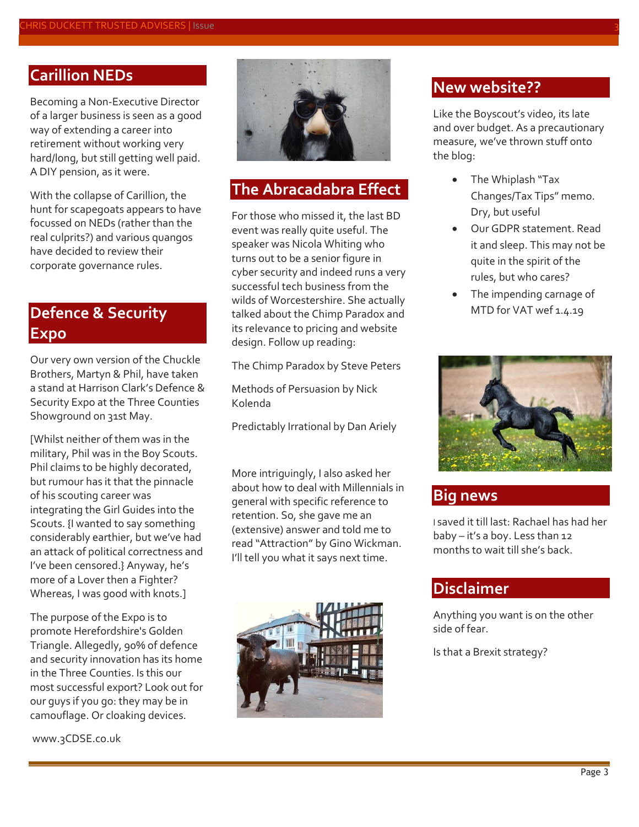#### **Carillion NEDs**

Becoming a Non-Executive Director of a larger business is seen as a good way of extending a career into retirement without working very hard/long, but still getting well paid. A DIY pension, as it were.

With the collapse of Carillion, the hunt for scapegoats appears to have focussed on NEDs (rather than the real culprits?) and various quangos have decided to review their corporate governance rules.

## **Defence & Security Expo**

Our very own version of the Chuckle Brothers, Martyn & Phil, have taken a stand at Harrison Clark's Defence & Security Expo at the Three Counties Showground on 31st May.

[Whilst neither of them was in the military, Phil was in the Boy Scouts. Phil claims to be highly decorated, but rumour has it that the pinnacle of his scouting career was integrating the Girl Guides into the Scouts. {I wanted to say something considerably earthier, but we've had an attack of political correctness and I've been censored.} Anyway, he's more of a Lover then a Fighter? Whereas, I was good with knots.]

The purpose of the Expo is to promote Herefordshire's Golden Triangle. Allegedly, 90% of defence and security innovation has its home in the Three Counties. Is this our most successful export? Look out for our guys if you go: they may be in camouflage. Or cloaking devices.

[www.3CDSE.co.uk](file://///Z1/Shared/maria/documents/New%20Newsletters/2017/%20www.3CDSE.co.uk)



#### **The Abracadabra Effect**

For those who missed it, the last BD event was really quite useful. The speaker was Nicola Whiting who turns out to be a senior figure in cyber security and indeed runs a very successful tech business from the wilds of Worcestershire. She actually talked about the Chimp Paradox and its relevance to pricing and website design. Follow up reading:

The Chimp Paradox by Steve Peters

Methods of Persuasion by Nick Kolenda

Predictably Irrational by Dan Ariely

More intriguingly, I also asked her about how to deal with Millennials in general with specific reference to retention. So, she gave me an (extensive) answer and told me to read "Attraction" by Gino Wickman. I'll tell you what it says next time.



#### **New website??**

Like the Boyscout's video, its late and over budget. As a precautionary measure, we've thrown stuff onto the blog:

- The Whiplash "Tax Changes/Tax Tips" memo. Dry, but useful
- Our GDPR statement. Read it and sleep. This may not be quite in the spirit of the rules, but who cares?
- The impending carnage of MTD for VAT wef 1.4.19



#### **Big news**

I saved it till last: Rachael has had her baby – it's a boy. Less than 12 months to wait till she's back.

#### **Disclaimer**

Anything you want is on the other side of fear.

Is that a Brexit strategy?